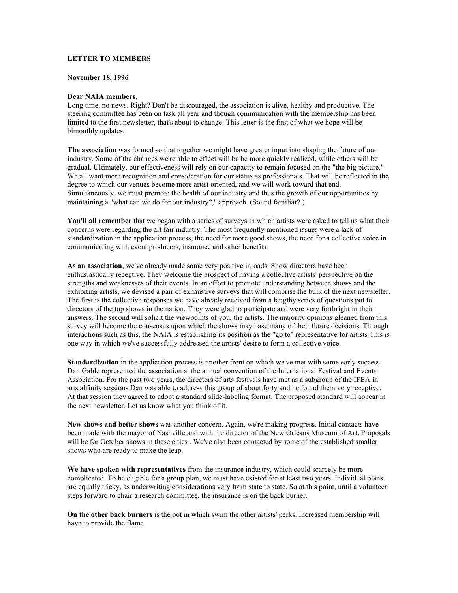## **LETTER TO MEMBERS**

## **November 18, 1996**

#### **Dear NAIA members**,

Long time, no news. Right? Don't be discouraged, the association is alive, healthy and productive. The steering committee has been on task all year and though communication with the membership has been limited to the first newsletter, that's about to change. This letter is the first of what we hope will be bimonthly updates.

**The association** was formed so that together we might have greater input into shaping the future of our industry. Some of the changes we're able to effect will be be more quickly realized, while others will be gradual. Ultimately, our effectiveness will rely on our capacity to remain focused on the "the big picture." We all want more recognition and consideration for our status as professionals. That will be reflected in the degree to which our venues become more artist oriented, and we will work toward that end. Simultaneously, we must promote the health of our industry and thus the growth of our opportunities by maintaining a "what can we do for our industry?," approach. (Sound familiar? )

**You'll all remember** that we began with a series of surveys in which artists were asked to tell us what their concerns were regarding the art fair industry. The most frequently mentioned issues were a lack of standardization in the application process, the need for more good shows, the need for a collective voice in communicating with event producers, insurance and other benefits.

**As an association**, we've already made some very positive inroads. Show directors have been enthusiastically receptive. They welcome the prospect of having a collective artists' perspective on the strengths and weaknesses of their events. In an effort to promote understanding between shows and the exhibiting artists, we devised a pair of exhaustive surveys that will comprise the bulk of the next newsletter. The first is the collective responses we have already received from a lengthy series of questions put to directors of the top shows in the nation. They were glad to participate and were very forthright in their answers. The second will solicit the viewpoints of you, the artists. The majority opinions gleaned from this survey will become the consensus upon which the shows may base many of their future decisions. Through interactions such as this, the NAIA is establishing its position as the "go to" representative for artists This is one way in which we've successfully addressed the artists' desire to form a collective voice.

**Standardization** in the application process is another front on which we've met with some early success. Dan Gable represented the association at the annual convention of the International Festival and Events Association. For the past two years, the directors of arts festivals have met as a subgroup of the IFEA in arts affinity sessions Dan was able to address this group of about forty and he found them very receptive. At that session they agreed to adopt a standard slide-labeling format. The proposed standard will appear in the next newsletter. Let us know what you think of it.

**New shows and better shows** was another concern. Again, we're making progress. Initial contacts have been made with the mayor of Nashville and with the director of the New Orleans Museum of Art. Proposals will be for October shows in these cities . We've also been contacted by some of the established smaller shows who are ready to make the leap.

**We have spoken with representatives** from the insurance industry, which could scarcely be more complicated. To be eligible for a group plan, we must have existed for at least two years. Individual plans are equally tricky, as underwriting considerations very from state to state. So at this point, until a volunteer steps forward to chair a research committee, the insurance is on the back burner.

**On the other back burners** is the pot in which swim the other artists' perks. Increased membership will have to provide the flame.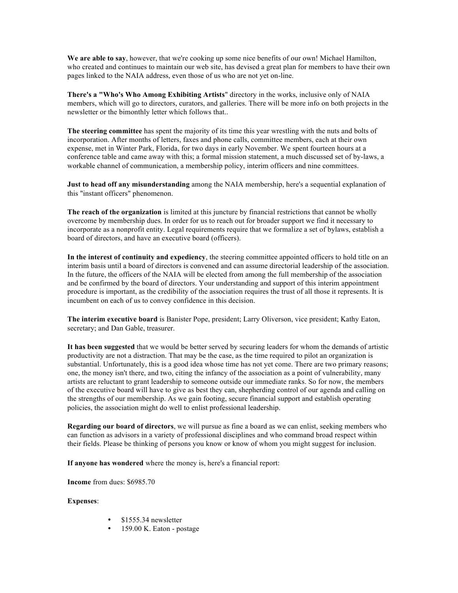We are able to say, however, that we're cooking up some nice benefits of our own! Michael Hamilton, who created and continues to maintain our web site, has devised a great plan for members to have their own pages linked to the NAIA address, even those of us who are not yet on-line.

**There's a "Who's Who Among Exhibiting Artists**" directory in the works, inclusive only of NAIA members, which will go to directors, curators, and galleries. There will be more info on both projects in the newsletter or the bimonthly letter which follows that..

**The steering committee** has spent the majority of its time this year wrestling with the nuts and bolts of incorporation. After months of letters, faxes and phone calls, committee members, each at their own expense, met in Winter Park, Florida, for two days in early November. We spent fourteen hours at a conference table and came away with this; a formal mission statement, a much discussed set of by-laws, a workable channel of communication, a membership policy, interim officers and nine committees.

**Just to head off any misunderstanding** among the NAIA membership, here's a sequential explanation of this "instant officers" phenomenon.

**The reach of the organization** is limited at this juncture by financial restrictions that cannot be wholly overcome by membership dues. In order for us to reach out for broader support we find it necessary to incorporate as a nonprofit entity. Legal requirements require that we formalize a set of bylaws, establish a board of directors, and have an executive board (officers).

**In the interest of continuity and expediency**, the steering committee appointed officers to hold title on an interim basis until a board of directors is convened and can assume directorial leadership of the association. In the future, the officers of the NAIA will be elected from among the full membership of the association and be confirmed by the board of directors. Your understanding and support of this interim appointment procedure is important, as the credibility of the association requires the trust of all those it represents. It is incumbent on each of us to convey confidence in this decision.

**The interim executive board** is Banister Pope, president; Larry Oliverson, vice president; Kathy Eaton, secretary; and Dan Gable, treasurer.

**It has been suggested** that we would be better served by securing leaders for whom the demands of artistic productivity are not a distraction. That may be the case, as the time required to pilot an organization is substantial. Unfortunately, this is a good idea whose time has not yet come. There are two primary reasons; one, the money isn't there, and two, citing the infancy of the association as a point of vulnerability, many artists are reluctant to grant leadership to someone outside our immediate ranks. So for now, the members of the executive board will have to give as best they can, shepherding control of our agenda and calling on the strengths of our membership. As we gain footing, secure financial support and establish operating policies, the association might do well to enlist professional leadership.

**Regarding our board of directors**, we will pursue as fine a board as we can enlist, seeking members who can function as advisors in a variety of professional disciplines and who command broad respect within their fields. Please be thinking of persons you know or know of whom you might suggest for inclusion.

**If anyone has wondered** where the money is, here's a financial report:

**Income** from dues: \$6985.70

### **Expenses**:

- \$1555.34 newsletter
- 159.00 K. Eaton postage